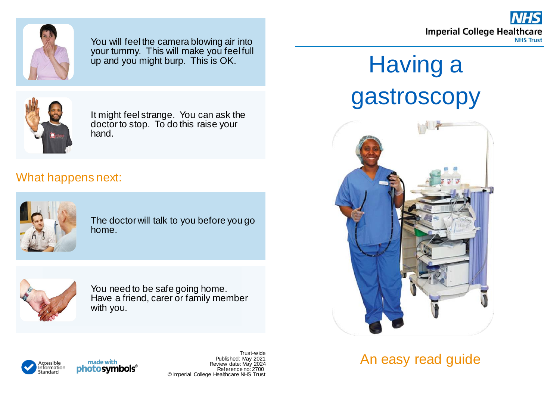



You will feel the camera blowing air into your tummy. This will make you feel full up and you might burp. This is OK.



It might feel strange. You can ask the doctor to stop. To do this raise your hand.

## What happens next:



The doctor will talk to you before you go home.



You need to be safe going home. Have a friend, carer or family member with you.

## Having a gastroscopy



An easy read guide



Trust-wide Published: May 2021 Review date: May 2024 Reference no: 2700 © Imperial College Healthcare NHS Trust